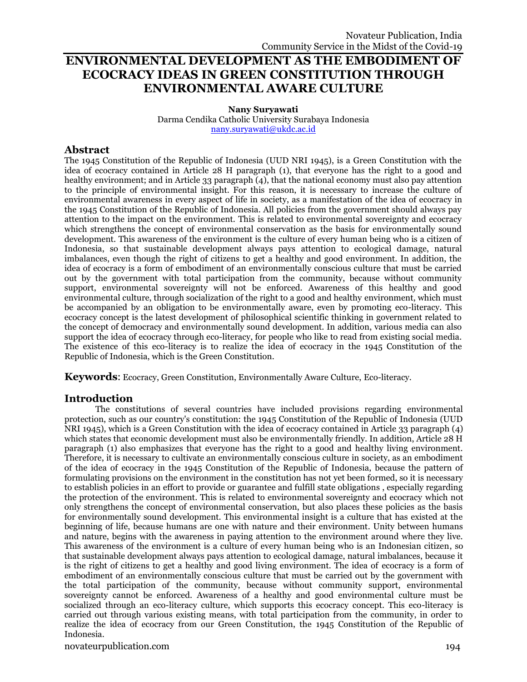# **ENVIRONMENTAL DEVELOPMENT AS THE EMBODIMENT OF ECOCRACY IDEAS IN GREEN CONSTITUTION THROUGH ENVIRONMENTAL AWARE CULTURE**

**Nany Suryawati** Darma Cendika Catholic University Surabaya Indonesia [nany.suryawati@ukdc.ac.id](mailto:nany.suryawati@ukdc.ac.id)

# **Abstract**

The 1945 Constitution of the Republic of Indonesia (UUD NRI 1945), is a Green Constitution with the idea of ecocracy contained in Article 28 H paragraph (1), that everyone has the right to a good and healthy environment; and in Article 33 paragraph (4), that the national economy must also pay attention to the principle of environmental insight. For this reason, it is necessary to increase the culture of environmental awareness in every aspect of life in society, as a manifestation of the idea of ecocracy in the 1945 Constitution of the Republic of Indonesia. All policies from the government should always pay attention to the impact on the environment. This is related to environmental sovereignty and ecocracy which strengthens the concept of environmental conservation as the basis for environmentally sound development. This awareness of the environment is the culture of every human being who is a citizen of Indonesia, so that sustainable development always pays attention to ecological damage, natural imbalances, even though the right of citizens to get a healthy and good environment. In addition, the idea of ecocracy is a form of embodiment of an environmentally conscious culture that must be carried out by the government with total participation from the community, because without community support, environmental sovereignty will not be enforced. Awareness of this healthy and good environmental culture, through socialization of the right to a good and healthy environment, which must be accompanied by an obligation to be environmentally aware, even by promoting eco-literacy. This ecocracy concept is the latest development of philosophical scientific thinking in government related to the concept of democracy and environmentally sound development. In addition, various media can also support the idea of ecocracy through eco-literacy, for people who like to read from existing social media. The existence of this eco-literacy is to realize the idea of ecocracy in the 1945 Constitution of the Republic of Indonesia, which is the Green Constitution.

**Keywords**: Ecocracy, Green Constitution, Environmentally Aware Culture, Eco-literacy.

## **Introduction**

The constitutions of several countries have included provisions regarding environmental protection, such as our country's constitution: the 1945 Constitution of the Republic of Indonesia (UUD NRI 1945), which is a Green Constitution with the idea of ecocracy contained in Article 33 paragraph (4) which states that economic development must also be environmentally friendly. In addition, Article 28 H paragraph (1) also emphasizes that everyone has the right to a good and healthy living environment. Therefore, it is necessary to cultivate an environmentally conscious culture in society, as an embodiment of the idea of ecocracy in the 1945 Constitution of the Republic of Indonesia, because the pattern of formulating provisions on the environment in the constitution has not yet been formed, so it is necessary to establish policies in an effort to provide or guarantee and fulfill state obligations , especially regarding the protection of the environment. This is related to environmental sovereignty and ecocracy which not only strengthens the concept of environmental conservation, but also places these policies as the basis for environmentally sound development. This environmental insight is a culture that has existed at the beginning of life, because humans are one with nature and their environment. Unity between humans and nature, begins with the awareness in paying attention to the environment around where they live. This awareness of the environment is a culture of every human being who is an Indonesian citizen, so that sustainable development always pays attention to ecological damage, natural imbalances, because it is the right of citizens to get a healthy and good living environment. The idea of ecocracy is a form of embodiment of an environmentally conscious culture that must be carried out by the government with the total participation of the community, because without community support, environmental sovereignty cannot be enforced. Awareness of a healthy and good environmental culture must be socialized through an eco-literacy culture, which supports this ecocracy concept. This eco-literacy is carried out through various existing means, with total participation from the community, in order to realize the idea of ecocracy from our Green Constitution, the 1945 Constitution of the Republic of Indonesia.

novateurpublication.com 194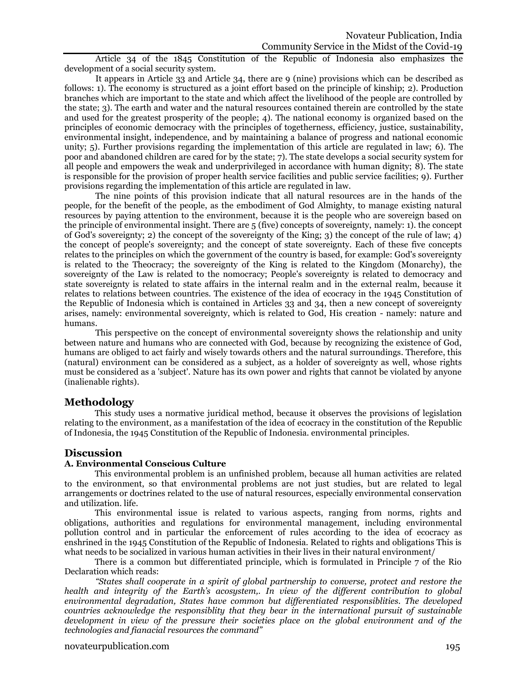Article 34 of the 1845 Constitution of the Republic of Indonesia also emphasizes the development of a social security system.

It appears in Article 33 and Article 34, there are 9 (nine) provisions which can be described as follows: 1). The economy is structured as a joint effort based on the principle of kinship; 2). Production branches which are important to the state and which affect the livelihood of the people are controlled by the state; 3). The earth and water and the natural resources contained therein are controlled by the state and used for the greatest prosperity of the people; 4). The national economy is organized based on the principles of economic democracy with the principles of togetherness, efficiency, justice, sustainability, environmental insight, independence, and by maintaining a balance of progress and national economic unity; 5). Further provisions regarding the implementation of this article are regulated in law; 6). The poor and abandoned children are cared for by the state; 7). The state develops a social security system for all people and empowers the weak and underprivileged in accordance with human dignity; 8). The state is responsible for the provision of proper health service facilities and public service facilities; 9). Further provisions regarding the implementation of this article are regulated in law.

The nine points of this provision indicate that all natural resources are in the hands of the people, for the benefit of the people, as the embodiment of God Almighty, to manage existing natural resources by paying attention to the environment, because it is the people who are sovereign based on the principle of environmental insight. There are 5 (five) concepts of sovereignty, namely: 1). the concept of God's sovereignty; 2) the concept of the sovereignty of the King; 3) the concept of the rule of law; 4) the concept of people's sovereignty; and the concept of state sovereignty. Each of these five concepts relates to the principles on which the government of the country is based, for example: God's sovereignty is related to the Theocracy; the sovereignty of the King is related to the Kingdom (Monarchy), the sovereignty of the Law is related to the nomocracy; People's sovereignty is related to democracy and state sovereignty is related to state affairs in the internal realm and in the external realm, because it relates to relations between countries. The existence of the idea of ecocracy in the 1945 Constitution of the Republic of Indonesia which is contained in Articles 33 and 34, then a new concept of sovereignty arises, namely: environmental sovereignty, which is related to God, His creation - namely: nature and humans.

This perspective on the concept of environmental sovereignty shows the relationship and unity between nature and humans who are connected with God, because by recognizing the existence of God, humans are obliged to act fairly and wisely towards others and the natural surroundings. Therefore, this (natural) environment can be considered as a subject, as a holder of sovereignty as well, whose rights must be considered as a 'subject'. Nature has its own power and rights that cannot be violated by anyone (inalienable rights).

## **Methodology**

This study uses a normative juridical method, because it observes the provisions of legislation relating to the environment, as a manifestation of the idea of ecocracy in the constitution of the Republic of Indonesia, the 1945 Constitution of the Republic of Indonesia. environmental principles.

## **Discussion**

### **A. Environmental Conscious Culture**

This environmental problem is an unfinished problem, because all human activities are related to the environment, so that environmental problems are not just studies, but are related to legal arrangements or doctrines related to the use of natural resources, especially environmental conservation and utilization. life.

This environmental issue is related to various aspects, ranging from norms, rights and obligations, authorities and regulations for environmental management, including environmental pollution control and in particular the enforcement of rules according to the idea of ecocracy as enshrined in the 1945 Constitution of the Republic of Indonesia. Related to rights and obligations This is what needs to be socialized in various human activities in their lives in their natural environment/

There is a common but differentiated principle, which is formulated in Principle 7 of the Rio Declaration which reads:

*"States shall cooperate in a spirit of global partnership to converse, protect and restore the health and integrity of the Earth's acosystem,. In view of the different contribution to global environmental degradation, States have common but differentiated responsiblities. The developed countries acknowledge the responsiblity that they bear in the international pursuit of sustainable development in view of the pressure their societies place on the global environment and of the technologies and fianacial resources the command"*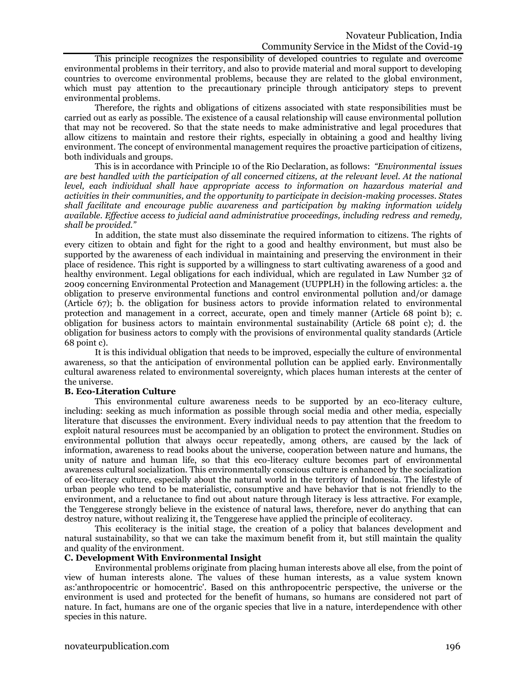This principle recognizes the responsibility of developed countries to regulate and overcome environmental problems in their territory, and also to provide material and moral support to developing countries to overcome environmental problems, because they are related to the global environment, which must pay attention to the precautionary principle through anticipatory steps to prevent environmental problems.

Therefore, the rights and obligations of citizens associated with state responsibilities must be carried out as early as possible. The existence of a causal relationship will cause environmental pollution that may not be recovered. So that the state needs to make administrative and legal procedures that allow citizens to maintain and restore their rights, especially in obtaining a good and healthy living environment. The concept of environmental management requires the proactive participation of citizens, both individuals and groups.

This is in accordance with Principle 10 of the Rio Declaration, as follows: *"Environmental issues are best handled with the participation of all concerned citizens, at the relevant level. At the national level, each individual shall have appropriate access to information on hazardous material and activities in their communities, and the opportunity to participate in decision-making processes. States shall facilitate and encourage public awareness and participation by making information widely available. Effective access to judicial aand administrative proceedings, including redress and remedy, shall be provided."*

In addition, the state must also disseminate the required information to citizens. The rights of every citizen to obtain and fight for the right to a good and healthy environment, but must also be supported by the awareness of each individual in maintaining and preserving the environment in their place of residence. This right is supported by a willingness to start cultivating awareness of a good and healthy environment. Legal obligations for each individual, which are regulated in Law Number 32 of 2009 concerning Environmental Protection and Management (UUPPLH) in the following articles: a. the obligation to preserve environmental functions and control environmental pollution and/or damage (Article 67); b. the obligation for business actors to provide information related to environmental protection and management in a correct, accurate, open and timely manner (Article 68 point b); c. obligation for business actors to maintain environmental sustainability (Article 68 point c); d. the obligation for business actors to comply with the provisions of environmental quality standards (Article 68 point c).

It is this individual obligation that needs to be improved, especially the culture of environmental awareness, so that the anticipation of environmental pollution can be applied early. Environmentally cultural awareness related to environmental sovereignty, which places human interests at the center of the universe.

#### **B. Eco-Literation Culture**

This environmental culture awareness needs to be supported by an eco-literacy culture, including: seeking as much information as possible through social media and other media, especially literature that discusses the environment. Every individual needs to pay attention that the freedom to exploit natural resources must be accompanied by an obligation to protect the environment. Studies on environmental pollution that always occur repeatedly, among others, are caused by the lack of information, awareness to read books about the universe, cooperation between nature and humans, the unity of nature and human life, so that this eco-literacy culture becomes part of environmental awareness cultural socialization. This environmentally conscious culture is enhanced by the socialization of eco-literacy culture, especially about the natural world in the territory of Indonesia. The lifestyle of urban people who tend to be materialistic, consumptive and have behavior that is not friendly to the environment, and a reluctance to find out about nature through literacy is less attractive. For example, the Tenggerese strongly believe in the existence of natural laws, therefore, never do anything that can destroy nature, without realizing it, the Tenggerese have applied the principle of ecoliteracy.

This ecoliteracy is the initial stage, the creation of a policy that balances development and natural sustainability, so that we can take the maximum benefit from it, but still maintain the quality and quality of the environment.

#### **C. Development With Environmental Insight**

Environmental problems originate from placing human interests above all else, from the point of view of human interests alone. The values of these human interests, as a value system known as:'anthropocentric or homocentric'. Based on this anthropocentric perspective, the universe or the environment is used and protected for the benefit of humans, so humans are considered not part of nature. In fact, humans are one of the organic species that live in a nature, interdependence with other species in this nature.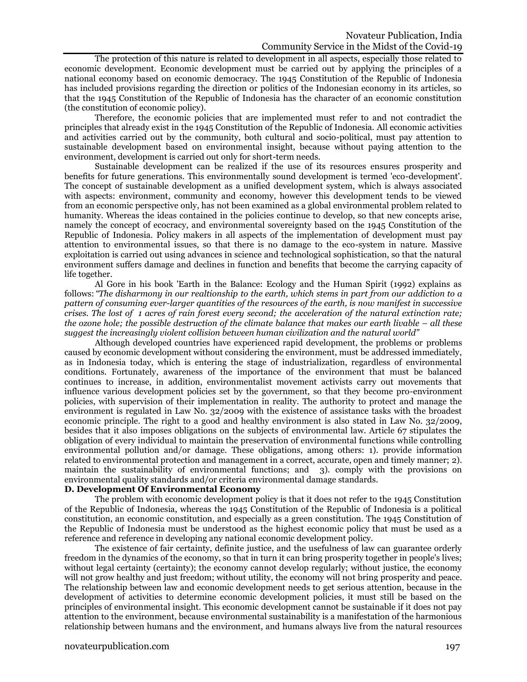The protection of this nature is related to development in all aspects, especially those related to economic development. Economic development must be carried out by applying the principles of a national economy based on economic democracy. The 1945 Constitution of the Republic of Indonesia has included provisions regarding the direction or politics of the Indonesian economy in its articles, so that the 1945 Constitution of the Republic of Indonesia has the character of an economic constitution (the constitution of economic policy).

Therefore, the economic policies that are implemented must refer to and not contradict the principles that already exist in the 1945 Constitution of the Republic of Indonesia. All economic activities and activities carried out by the community, both cultural and socio-political, must pay attention to sustainable development based on environmental insight, because without paying attention to the environment, development is carried out only for short-term needs.

Sustainable development can be realized if the use of its resources ensures prosperity and benefits for future generations. This environmentally sound development is termed 'eco-development'. The concept of sustainable development as a unified development system, which is always associated with aspects: environment, community and economy, however this development tends to be viewed from an economic perspective only, has not been examined as a global environmental problem related to humanity. Whereas the ideas contained in the policies continue to develop, so that new concepts arise, namely the concept of ecocracy, and environmental sovereignty based on the 1945 Constitution of the Republic of Indonesia. Policy makers in all aspects of the implementation of development must pay attention to environmental issues, so that there is no damage to the eco-system in nature. Massive exploitation is carried out using advances in science and technological sophistication, so that the natural environment suffers damage and declines in function and benefits that become the carrying capacity of life together.

Al Gore in his book 'Earth in the Balance: Ecology and the Human Spirit (1992) explains as follows:*"The disharmony in our realtionship to the earth, which stems in part from our addiction to a pattern of consuming ever-larger quantities of the resources of the earth, is now manifest in successive crises. The lost of 1 acres of rain forest every second; the acceleration of the natural extinction rate; the ozone hole; the possible destruction of the climate balance that makes our earth livable – all these suggest the increasingly violent collision between human civilization and the natural world"*

Although developed countries have experienced rapid development, the problems or problems caused by economic development without considering the environment, must be addressed immediately, as in Indonesia today, which is entering the stage of industrialization, regardless of environmental conditions. Fortunately, awareness of the importance of the environment that must be balanced continues to increase, in addition, environmentalist movement activists carry out movements that influence various development policies set by the government, so that they become pro-environment policies, with supervision of their implementation in reality. The authority to protect and manage the environment is regulated in Law No. 32/2009 with the existence of assistance tasks with the broadest economic principle. The right to a good and healthy environment is also stated in Law No. 32/2009, besides that it also imposes obligations on the subjects of environmental law. Article 67 stipulates the obligation of every individual to maintain the preservation of environmental functions while controlling environmental pollution and/or damage. These obligations, among others: 1). provide information related to environmental protection and management in a correct, accurate, open and timely manner; 2). maintain the sustainability of environmental functions; and 3). comply with the provisions on environmental quality standards and/or criteria environmental damage standards.

### **D. Development Of Environmental Economy**

The problem with economic development policy is that it does not refer to the 1945 Constitution of the Republic of Indonesia, whereas the 1945 Constitution of the Republic of Indonesia is a political constitution, an economic constitution, and especially as a green constitution. The 1945 Constitution of the Republic of Indonesia must be understood as the highest economic policy that must be used as a reference and reference in developing any national economic development policy.

The existence of fair certainty, definite justice, and the usefulness of law can guarantee orderly freedom in the dynamics of the economy, so that in turn it can bring prosperity together in people's lives; without legal certainty (certainty); the economy cannot develop regularly; without justice, the economy will not grow healthy and just freedom; without utility, the economy will not bring prosperity and peace. The relationship between law and economic development needs to get serious attention, because in the development of activities to determine economic development policies, it must still be based on the principles of environmental insight. This economic development cannot be sustainable if it does not pay attention to the environment, because environmental sustainability is a manifestation of the harmonious relationship between humans and the environment, and humans always live from the natural resources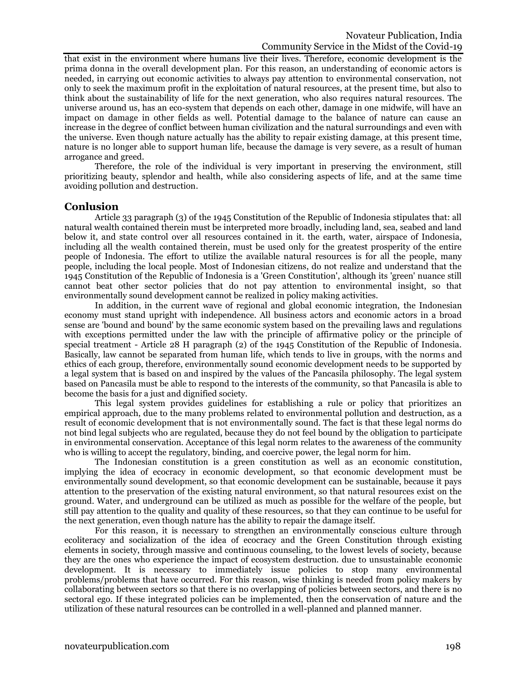that exist in the environment where humans live their lives. Therefore, economic development is the prima donna in the overall development plan. For this reason, an understanding of economic actors is needed, in carrying out economic activities to always pay attention to environmental conservation, not only to seek the maximum profit in the exploitation of natural resources, at the present time, but also to think about the sustainability of life for the next generation, who also requires natural resources. The universe around us, has an eco-system that depends on each other, damage in one midwife, will have an impact on damage in other fields as well. Potential damage to the balance of nature can cause an increase in the degree of conflict between human civilization and the natural surroundings and even with the universe. Even though nature actually has the ability to repair existing damage, at this present time, nature is no longer able to support human life, because the damage is very severe, as a result of human arrogance and greed.

Therefore, the role of the individual is very important in preserving the environment, still prioritizing beauty, splendor and health, while also considering aspects of life, and at the same time avoiding pollution and destruction.

### **Conlusion**

Article 33 paragraph (3) of the 1945 Constitution of the Republic of Indonesia stipulates that: all natural wealth contained therein must be interpreted more broadly, including land, sea, seabed and land below it, and state control over all resources contained in it. the earth, water, airspace of Indonesia, including all the wealth contained therein, must be used only for the greatest prosperity of the entire people of Indonesia. The effort to utilize the available natural resources is for all the people, many people, including the local people. Most of Indonesian citizens, do not realize and understand that the 1945 Constitution of the Republic of Indonesia is a 'Green Constitution', although its 'green' nuance still cannot beat other sector policies that do not pay attention to environmental insight, so that environmentally sound development cannot be realized in policy making activities.

In addition, in the current wave of regional and global economic integration, the Indonesian economy must stand upright with independence. All business actors and economic actors in a broad sense are 'bound and bound' by the same economic system based on the prevailing laws and regulations with exceptions permitted under the law with the principle of affirmative policy or the principle of special treatment - Article 28 H paragraph (2) of the 1945 Constitution of the Republic of Indonesia. Basically, law cannot be separated from human life, which tends to live in groups, with the norms and ethics of each group, therefore, environmentally sound economic development needs to be supported by a legal system that is based on and inspired by the values of the Pancasila philosophy. The legal system based on Pancasila must be able to respond to the interests of the community, so that Pancasila is able to become the basis for a just and dignified society.

This legal system provides guidelines for establishing a rule or policy that prioritizes an empirical approach, due to the many problems related to environmental pollution and destruction, as a result of economic development that is not environmentally sound. The fact is that these legal norms do not bind legal subjects who are regulated, because they do not feel bound by the obligation to participate in environmental conservation. Acceptance of this legal norm relates to the awareness of the community who is willing to accept the regulatory, binding, and coercive power, the legal norm for him.

The Indonesian constitution is a green constitution as well as an economic constitution, implying the idea of ecocracy in economic development, so that economic development must be environmentally sound development, so that economic development can be sustainable, because it pays attention to the preservation of the existing natural environment, so that natural resources exist on the ground. Water, and underground can be utilized as much as possible for the welfare of the people, but still pay attention to the quality and quality of these resources, so that they can continue to be useful for the next generation, even though nature has the ability to repair the damage itself.

For this reason, it is necessary to strengthen an environmentally conscious culture through ecoliteracy and socialization of the idea of ecocracy and the Green Constitution through existing elements in society, through massive and continuous counseling, to the lowest levels of society, because they are the ones who experience the impact of ecosystem destruction. due to unsustainable economic development. It is necessary to immediately issue policies to stop many environmental problems/problems that have occurred. For this reason, wise thinking is needed from policy makers by collaborating between sectors so that there is no overlapping of policies between sectors, and there is no sectoral ego. If these integrated policies can be implemented, then the conservation of nature and the utilization of these natural resources can be controlled in a well-planned and planned manner.